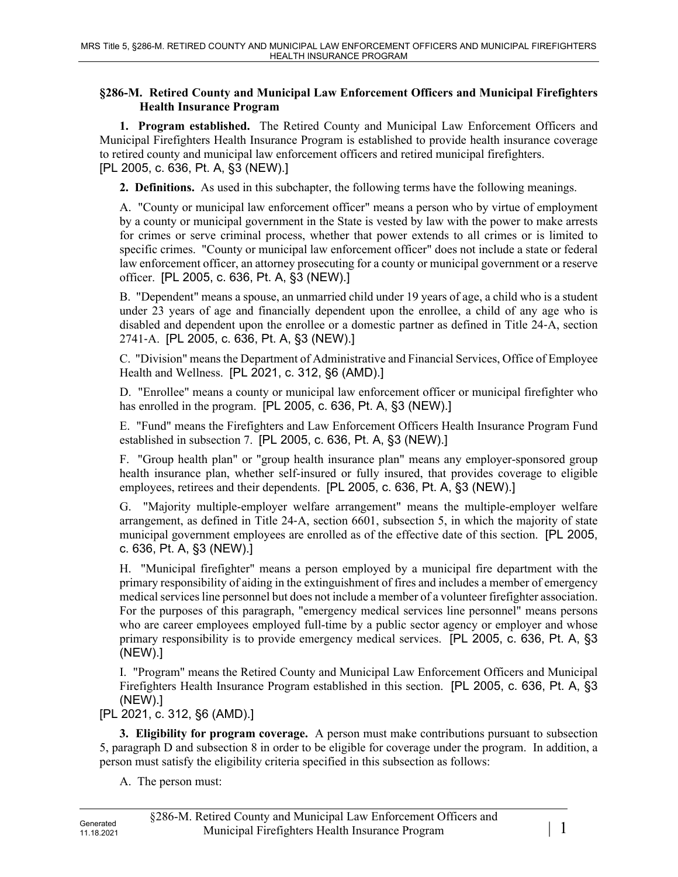## **§286-M. Retired County and Municipal Law Enforcement Officers and Municipal Firefighters Health Insurance Program**

**1. Program established.** The Retired County and Municipal Law Enforcement Officers and Municipal Firefighters Health Insurance Program is established to provide health insurance coverage to retired county and municipal law enforcement officers and retired municipal firefighters. [PL 2005, c. 636, Pt. A, §3 (NEW).]

**2. Definitions.** As used in this subchapter, the following terms have the following meanings.

A. "County or municipal law enforcement officer" means a person who by virtue of employment by a county or municipal government in the State is vested by law with the power to make arrests for crimes or serve criminal process, whether that power extends to all crimes or is limited to specific crimes. "County or municipal law enforcement officer" does not include a state or federal law enforcement officer, an attorney prosecuting for a county or municipal government or a reserve officer. [PL 2005, c. 636, Pt. A, §3 (NEW).]

B. "Dependent" means a spouse, an unmarried child under 19 years of age, a child who is a student under 23 years of age and financially dependent upon the enrollee, a child of any age who is disabled and dependent upon the enrollee or a domestic partner as defined in Title 24‑A, section 2741‑A. [PL 2005, c. 636, Pt. A, §3 (NEW).]

C. "Division" means the Department of Administrative and Financial Services, Office of Employee Health and Wellness. [PL 2021, c. 312, §6 (AMD).]

D. "Enrollee" means a county or municipal law enforcement officer or municipal firefighter who has enrolled in the program. [PL 2005, c. 636, Pt. A, §3 (NEW).]

E. "Fund" means the Firefighters and Law Enforcement Officers Health Insurance Program Fund established in subsection 7. [PL 2005, c. 636, Pt. A, §3 (NEW).]

F. "Group health plan" or "group health insurance plan" means any employer-sponsored group health insurance plan, whether self-insured or fully insured, that provides coverage to eligible employees, retirees and their dependents. [PL 2005, c. 636, Pt. A, §3 (NEW).]

G. "Majority multiple-employer welfare arrangement" means the multiple-employer welfare arrangement, as defined in Title 24‑A, section 6601, subsection 5, in which the majority of state municipal government employees are enrolled as of the effective date of this section. [PL 2005, c. 636, Pt. A, §3 (NEW).]

H. "Municipal firefighter" means a person employed by a municipal fire department with the primary responsibility of aiding in the extinguishment of fires and includes a member of emergency medical services line personnel but does not include a member of a volunteer firefighter association. For the purposes of this paragraph, "emergency medical services line personnel" means persons who are career employees employed full-time by a public sector agency or employer and whose primary responsibility is to provide emergency medical services. [PL 2005, c. 636, Pt. A, §3 (NEW).]

I. "Program" means the Retired County and Municipal Law Enforcement Officers and Municipal Firefighters Health Insurance Program established in this section. [PL 2005, c. 636, Pt. A, §3 (NEW).]

[PL 2021, c. 312, §6 (AMD).]

**3. Eligibility for program coverage.** A person must make contributions pursuant to subsection 5, paragraph D and subsection 8 in order to be eligible for coverage under the program. In addition, a person must satisfy the eligibility criteria specified in this subsection as follows:

A. The person must: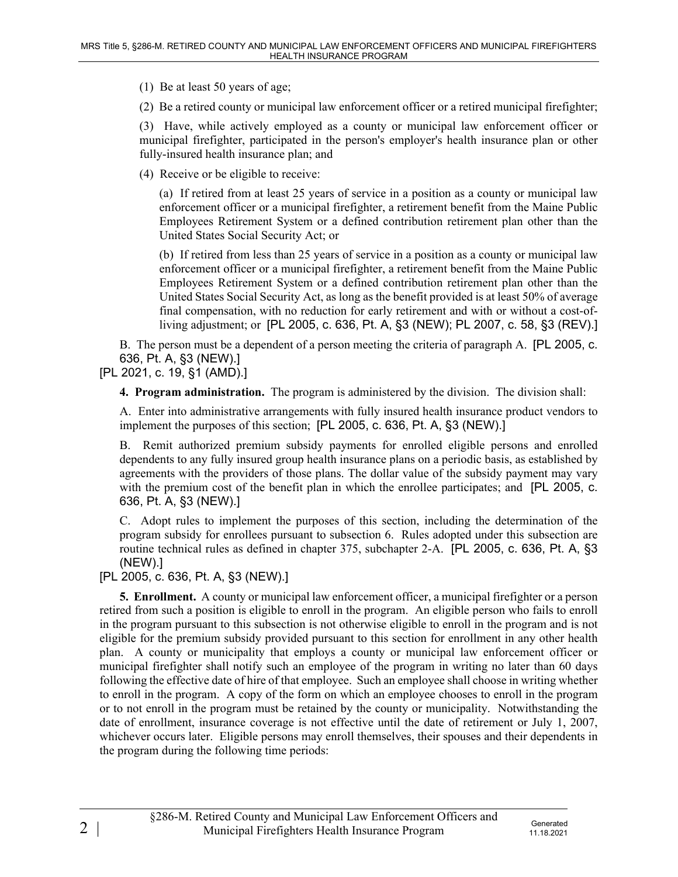(1) Be at least 50 years of age;

(2) Be a retired county or municipal law enforcement officer or a retired municipal firefighter;

(3) Have, while actively employed as a county or municipal law enforcement officer or municipal firefighter, participated in the person's employer's health insurance plan or other fully-insured health insurance plan; and

(4) Receive or be eligible to receive:

(a) If retired from at least 25 years of service in a position as a county or municipal law enforcement officer or a municipal firefighter, a retirement benefit from the Maine Public Employees Retirement System or a defined contribution retirement plan other than the United States Social Security Act; or

(b) If retired from less than 25 years of service in a position as a county or municipal law enforcement officer or a municipal firefighter, a retirement benefit from the Maine Public Employees Retirement System or a defined contribution retirement plan other than the United States Social Security Act, as long as the benefit provided is at least 50% of average final compensation, with no reduction for early retirement and with or without a cost-ofliving adjustment; or [PL 2005, c. 636, Pt. A, §3 (NEW); PL 2007, c. 58, §3 (REV).]

B. The person must be a dependent of a person meeting the criteria of paragraph A. [PL 2005, c. 636, Pt. A, §3 (NEW).]

[PL 2021, c. 19, §1 (AMD).]

**4. Program administration.** The program is administered by the division. The division shall:

A. Enter into administrative arrangements with fully insured health insurance product vendors to implement the purposes of this section; [PL 2005, c. 636, Pt. A, §3 (NEW).]

B. Remit authorized premium subsidy payments for enrolled eligible persons and enrolled dependents to any fully insured group health insurance plans on a periodic basis, as established by agreements with the providers of those plans. The dollar value of the subsidy payment may vary with the premium cost of the benefit plan in which the enrollee participates; and [PL 2005, c. 636, Pt. A, §3 (NEW).]

C. Adopt rules to implement the purposes of this section, including the determination of the program subsidy for enrollees pursuant to subsection 6. Rules adopted under this subsection are routine technical rules as defined in chapter 375, subchapter 2-A. [PL 2005, c. 636, Pt. A, §3 (NEW).]

[PL 2005, c. 636, Pt. A, §3 (NEW).]

**5. Enrollment.** A county or municipal law enforcement officer, a municipal firefighter or a person retired from such a position is eligible to enroll in the program. An eligible person who fails to enroll in the program pursuant to this subsection is not otherwise eligible to enroll in the program and is not eligible for the premium subsidy provided pursuant to this section for enrollment in any other health plan. A county or municipality that employs a county or municipal law enforcement officer or municipal firefighter shall notify such an employee of the program in writing no later than 60 days following the effective date of hire of that employee. Such an employee shall choose in writing whether to enroll in the program. A copy of the form on which an employee chooses to enroll in the program or to not enroll in the program must be retained by the county or municipality. Notwithstanding the date of enrollment, insurance coverage is not effective until the date of retirement or July 1, 2007, whichever occurs later. Eligible persons may enroll themselves, their spouses and their dependents in the program during the following time periods: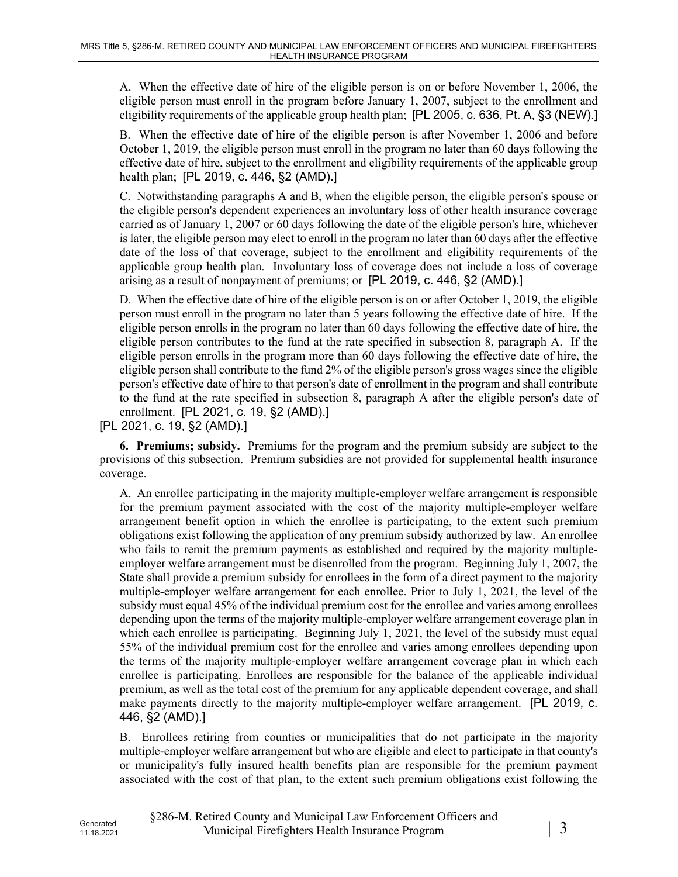A. When the effective date of hire of the eligible person is on or before November 1, 2006, the eligible person must enroll in the program before January 1, 2007, subject to the enrollment and eligibility requirements of the applicable group health plan; [PL 2005, c. 636, Pt. A, §3 (NEW).]

B. When the effective date of hire of the eligible person is after November 1, 2006 and before October 1, 2019, the eligible person must enroll in the program no later than 60 days following the effective date of hire, subject to the enrollment and eligibility requirements of the applicable group health plan; [PL 2019, c. 446, §2 (AMD).]

C. Notwithstanding paragraphs A and B, when the eligible person, the eligible person's spouse or the eligible person's dependent experiences an involuntary loss of other health insurance coverage carried as of January 1, 2007 or 60 days following the date of the eligible person's hire, whichever is later, the eligible person may elect to enroll in the program no later than 60 days after the effective date of the loss of that coverage, subject to the enrollment and eligibility requirements of the applicable group health plan. Involuntary loss of coverage does not include a loss of coverage arising as a result of nonpayment of premiums; or [PL 2019, c. 446, §2 (AMD).]

D. When the effective date of hire of the eligible person is on or after October 1, 2019, the eligible person must enroll in the program no later than 5 years following the effective date of hire. If the eligible person enrolls in the program no later than 60 days following the effective date of hire, the eligible person contributes to the fund at the rate specified in subsection 8, paragraph A. If the eligible person enrolls in the program more than 60 days following the effective date of hire, the eligible person shall contribute to the fund 2% of the eligible person's gross wages since the eligible person's effective date of hire to that person's date of enrollment in the program and shall contribute to the fund at the rate specified in subsection 8, paragraph A after the eligible person's date of enrollment. [PL 2021, c. 19, §2 (AMD).]

[PL 2021, c. 19, §2 (AMD).]

**6. Premiums; subsidy.** Premiums for the program and the premium subsidy are subject to the provisions of this subsection. Premium subsidies are not provided for supplemental health insurance coverage.

A. An enrollee participating in the majority multiple-employer welfare arrangement is responsible for the premium payment associated with the cost of the majority multiple-employer welfare arrangement benefit option in which the enrollee is participating, to the extent such premium obligations exist following the application of any premium subsidy authorized by law. An enrollee who fails to remit the premium payments as established and required by the majority multipleemployer welfare arrangement must be disenrolled from the program. Beginning July 1, 2007, the State shall provide a premium subsidy for enrollees in the form of a direct payment to the majority multiple-employer welfare arrangement for each enrollee. Prior to July 1, 2021, the level of the subsidy must equal 45% of the individual premium cost for the enrollee and varies among enrollees depending upon the terms of the majority multiple-employer welfare arrangement coverage plan in which each enrollee is participating. Beginning July 1, 2021, the level of the subsidy must equal 55% of the individual premium cost for the enrollee and varies among enrollees depending upon the terms of the majority multiple-employer welfare arrangement coverage plan in which each enrollee is participating. Enrollees are responsible for the balance of the applicable individual premium, as well as the total cost of the premium for any applicable dependent coverage, and shall make payments directly to the majority multiple-employer welfare arrangement. [PL 2019, c. 446, §2 (AMD).]

B. Enrollees retiring from counties or municipalities that do not participate in the majority multiple-employer welfare arrangement but who are eligible and elect to participate in that county's or municipality's fully insured health benefits plan are responsible for the premium payment associated with the cost of that plan, to the extent such premium obligations exist following the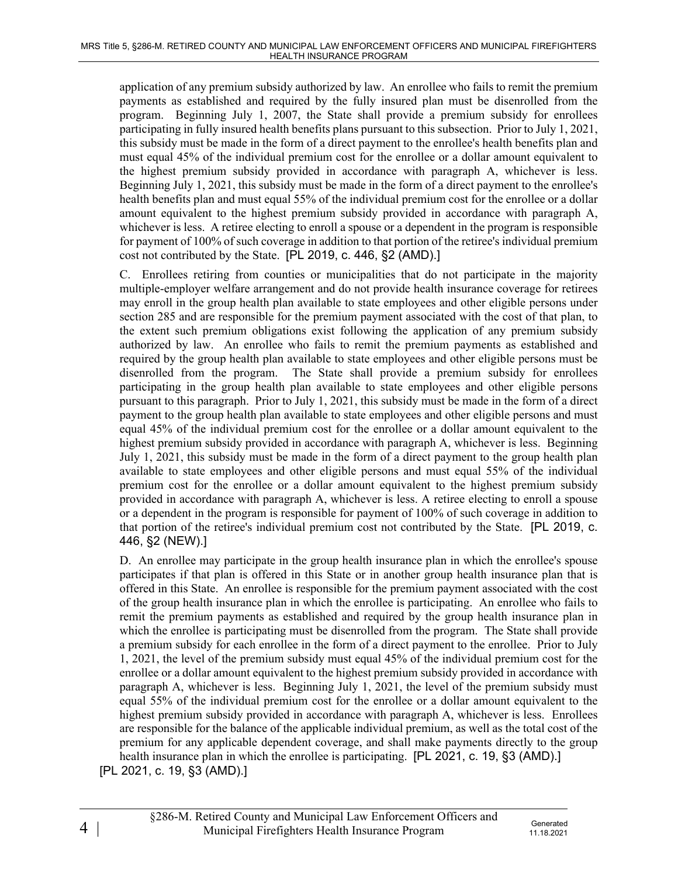application of any premium subsidy authorized by law. An enrollee who fails to remit the premium payments as established and required by the fully insured plan must be disenrolled from the program. Beginning July 1, 2007, the State shall provide a premium subsidy for enrollees participating in fully insured health benefits plans pursuant to this subsection. Prior to July 1, 2021, this subsidy must be made in the form of a direct payment to the enrollee's health benefits plan and must equal 45% of the individual premium cost for the enrollee or a dollar amount equivalent to the highest premium subsidy provided in accordance with paragraph A, whichever is less. Beginning July 1, 2021, this subsidy must be made in the form of a direct payment to the enrollee's health benefits plan and must equal 55% of the individual premium cost for the enrollee or a dollar amount equivalent to the highest premium subsidy provided in accordance with paragraph A, whichever is less. A retiree electing to enroll a spouse or a dependent in the program is responsible for payment of 100% of such coverage in addition to that portion of the retiree's individual premium cost not contributed by the State. [PL 2019, c. 446, §2 (AMD).]

C. Enrollees retiring from counties or municipalities that do not participate in the majority multiple-employer welfare arrangement and do not provide health insurance coverage for retirees may enroll in the group health plan available to state employees and other eligible persons under section 285 and are responsible for the premium payment associated with the cost of that plan, to the extent such premium obligations exist following the application of any premium subsidy authorized by law. An enrollee who fails to remit the premium payments as established and required by the group health plan available to state employees and other eligible persons must be disenrolled from the program. The State shall provide a premium subsidy for enrollees participating in the group health plan available to state employees and other eligible persons pursuant to this paragraph. Prior to July 1, 2021, this subsidy must be made in the form of a direct payment to the group health plan available to state employees and other eligible persons and must equal 45% of the individual premium cost for the enrollee or a dollar amount equivalent to the highest premium subsidy provided in accordance with paragraph A, whichever is less. Beginning July 1, 2021, this subsidy must be made in the form of a direct payment to the group health plan available to state employees and other eligible persons and must equal 55% of the individual premium cost for the enrollee or a dollar amount equivalent to the highest premium subsidy provided in accordance with paragraph A, whichever is less. A retiree electing to enroll a spouse or a dependent in the program is responsible for payment of 100% of such coverage in addition to that portion of the retiree's individual premium cost not contributed by the State. [PL 2019, c. 446, §2 (NEW).]

D. An enrollee may participate in the group health insurance plan in which the enrollee's spouse participates if that plan is offered in this State or in another group health insurance plan that is offered in this State. An enrollee is responsible for the premium payment associated with the cost of the group health insurance plan in which the enrollee is participating. An enrollee who fails to remit the premium payments as established and required by the group health insurance plan in which the enrollee is participating must be disenrolled from the program. The State shall provide a premium subsidy for each enrollee in the form of a direct payment to the enrollee. Prior to July 1, 2021, the level of the premium subsidy must equal 45% of the individual premium cost for the enrollee or a dollar amount equivalent to the highest premium subsidy provided in accordance with paragraph A, whichever is less. Beginning July 1, 2021, the level of the premium subsidy must equal 55% of the individual premium cost for the enrollee or a dollar amount equivalent to the highest premium subsidy provided in accordance with paragraph A, whichever is less. Enrollees are responsible for the balance of the applicable individual premium, as well as the total cost of the premium for any applicable dependent coverage, and shall make payments directly to the group health insurance plan in which the enrollee is participating. [PL 2021, c. 19, §3 (AMD).] [PL 2021, c. 19, §3 (AMD).]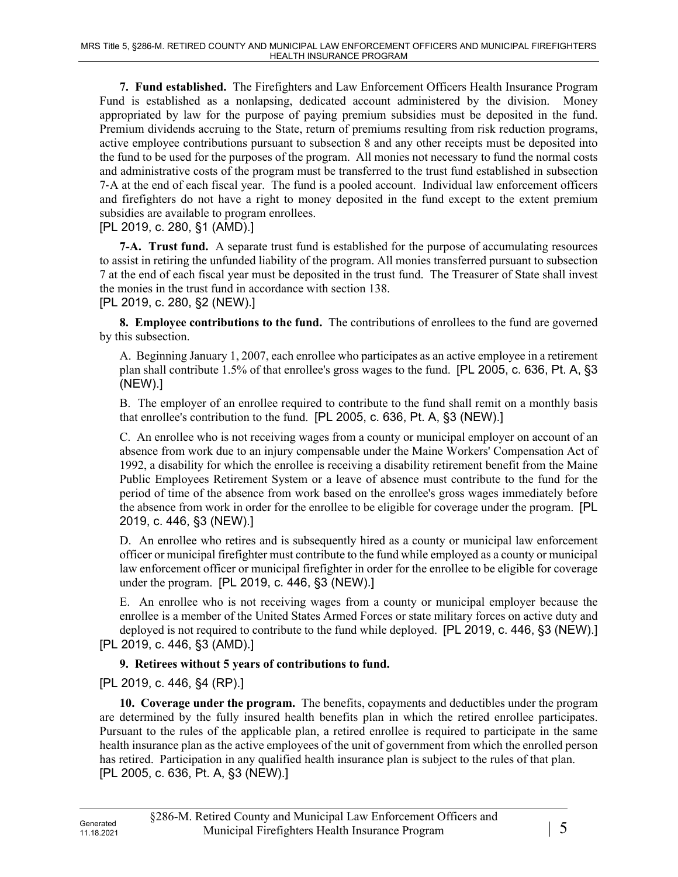**7. Fund established.** The Firefighters and Law Enforcement Officers Health Insurance Program Fund is established as a nonlapsing, dedicated account administered by the division. Money appropriated by law for the purpose of paying premium subsidies must be deposited in the fund. Premium dividends accruing to the State, return of premiums resulting from risk reduction programs, active employee contributions pursuant to subsection 8 and any other receipts must be deposited into the fund to be used for the purposes of the program. All monies not necessary to fund the normal costs and administrative costs of the program must be transferred to the trust fund established in subsection 7‑A at the end of each fiscal year. The fund is a pooled account. Individual law enforcement officers and firefighters do not have a right to money deposited in the fund except to the extent premium subsidies are available to program enrollees.

[PL 2019, c. 280, §1 (AMD).]

**7-A. Trust fund.** A separate trust fund is established for the purpose of accumulating resources to assist in retiring the unfunded liability of the program. All monies transferred pursuant to subsection 7 at the end of each fiscal year must be deposited in the trust fund. The Treasurer of State shall invest the monies in the trust fund in accordance with section 138. [PL 2019, c. 280, §2 (NEW).]

**8. Employee contributions to the fund.** The contributions of enrollees to the fund are governed by this subsection.

A. Beginning January 1, 2007, each enrollee who participates as an active employee in a retirement plan shall contribute 1.5% of that enrollee's gross wages to the fund. [PL 2005, c. 636, Pt. A, §3 (NEW).]

B. The employer of an enrollee required to contribute to the fund shall remit on a monthly basis that enrollee's contribution to the fund. [PL 2005, c. 636, Pt. A, §3 (NEW).]

C. An enrollee who is not receiving wages from a county or municipal employer on account of an absence from work due to an injury compensable under the Maine Workers' Compensation Act of 1992, a disability for which the enrollee is receiving a disability retirement benefit from the Maine Public Employees Retirement System or a leave of absence must contribute to the fund for the period of time of the absence from work based on the enrollee's gross wages immediately before the absence from work in order for the enrollee to be eligible for coverage under the program. [PL 2019, c. 446, §3 (NEW).]

D. An enrollee who retires and is subsequently hired as a county or municipal law enforcement officer or municipal firefighter must contribute to the fund while employed as a county or municipal law enforcement officer or municipal firefighter in order for the enrollee to be eligible for coverage under the program. [PL 2019, c. 446, §3 (NEW).]

E. An enrollee who is not receiving wages from a county or municipal employer because the enrollee is a member of the United States Armed Forces or state military forces on active duty and deployed is not required to contribute to the fund while deployed. [PL 2019, c. 446, §3 (NEW).] [PL 2019, c. 446, §3 (AMD).]

## **9. Retirees without 5 years of contributions to fund.**

[PL 2019, c. 446, §4 (RP).]

**10. Coverage under the program.** The benefits, copayments and deductibles under the program are determined by the fully insured health benefits plan in which the retired enrollee participates. Pursuant to the rules of the applicable plan, a retired enrollee is required to participate in the same health insurance plan as the active employees of the unit of government from which the enrolled person has retired. Participation in any qualified health insurance plan is subject to the rules of that plan. [PL 2005, c. 636, Pt. A, §3 (NEW).]